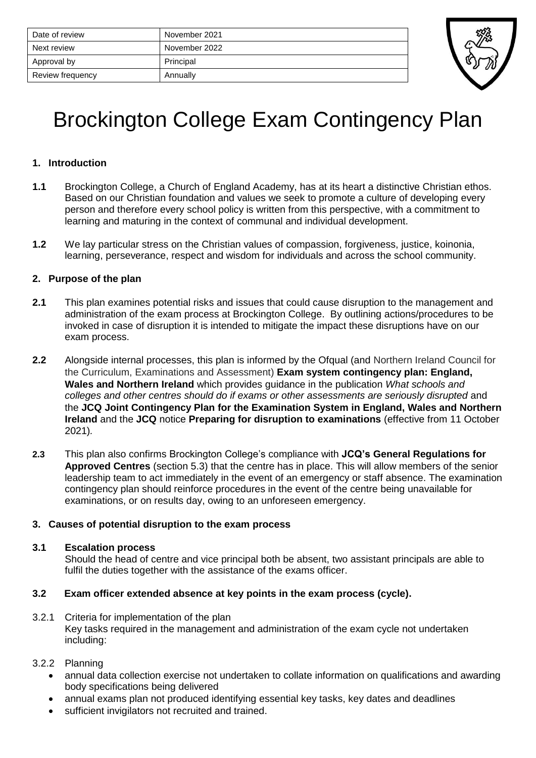| Date of review   | November 2021 |
|------------------|---------------|
| Next review      | November 2022 |
| Approval by      | Principal     |
| Review frequency | Annually      |



# Brockington College Exam Contingency Plan

# **1. Introduction**

- **1.1** Brockington College, a Church of England Academy, has at its heart a distinctive Christian ethos. Based on our Christian foundation and values we seek to promote a culture of developing every person and therefore every school policy is written from this perspective, with a commitment to learning and maturing in the context of communal and individual development.
- **1.2** We lay particular stress on the Christian values of compassion, forgiveness, justice, koinonia, learning, perseverance, respect and wisdom for individuals and across the school community.

# **2. Purpose of the plan**

- **2.1** This plan examines potential risks and issues that could cause disruption to the management and administration of the exam process at Brockington College. By outlining actions/procedures to be invoked in case of disruption it is intended to mitigate the impact these disruptions have on our exam process.
- **2.2** Alongside internal processes, this plan is informed by the Ofqual (and Northern Ireland Council for the Curriculum, Examinations and Assessment) **Exam system contingency plan: England, Wales and Northern Ireland** which provides guidance in the publication *What schools and*  colleges and other centres should do if exams or other assessments are seriously disrupted and the **JCQ Joint Contingency Plan for the Examination System in England, Wales and Northern Ireland** and the **JCQ** notice **Preparing for disruption to examinations** (effective from 11 October 2021)*.*
- **2.3** This plan also confirms Brockington College's compliance with **JCQ's General Regulations for Approved Centres** (section 5.3) that the centre has in place. This will allow members of the senior leadership team to act immediately in the event of an emergency or staff absence. The examination contingency plan should reinforce procedures in the event of the centre being unavailable for examinations, or on results day, owing to an unforeseen emergency.

## **3. Causes of potential disruption to the exam process**

## **3.1 Escalation process**

Should the head of centre and vice principal both be absent, two assistant principals are able to fulfil the duties together with the assistance of the exams officer.

# **3.2 Exam officer extended absence at key points in the exam process (cycle).**

- 3.2.1 Criteria for implementation of the plan Key tasks required in the management and administration of the exam cycle not undertaken including:
- 3.2.2 Planning
	- annual data collection exercise not undertaken to collate information on qualifications and awarding body specifications being delivered
	- annual exams plan not produced identifying essential key tasks, key dates and deadlines
	- sufficient invigilators not recruited and trained.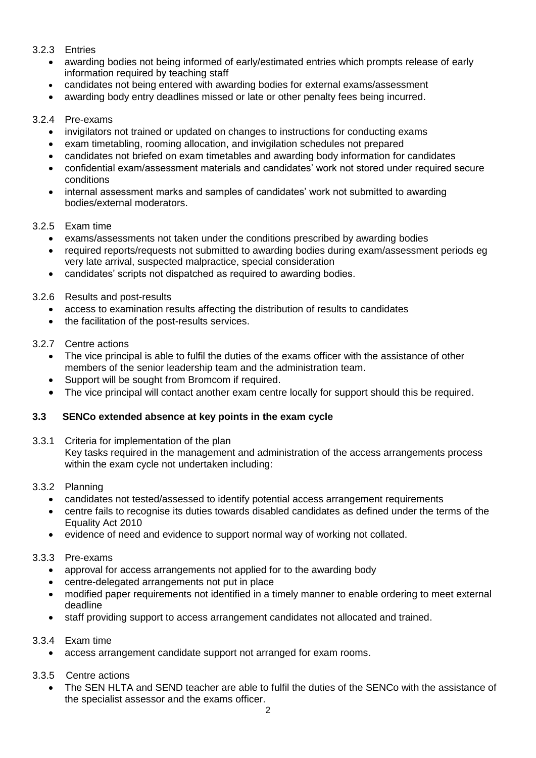# 3.2.3 Entries

- awarding bodies not being informed of early/estimated entries which prompts release of early information required by teaching staff
- candidates not being entered with awarding bodies for external exams/assessment
- awarding body entry deadlines missed or late or other penalty fees being incurred.

## 3.2.4 Pre-exams

- invigilators not trained or updated on changes to instructions for conducting exams
- exam timetabling, rooming allocation, and invigilation schedules not prepared
- candidates not briefed on exam timetables and awarding body information for candidates
- confidential exam/assessment materials and candidates' work not stored under required secure conditions
- internal assessment marks and samples of candidates' work not submitted to awarding bodies/external moderators.

## 3.2.5 Exam time

- exams/assessments not taken under the conditions prescribed by awarding bodies
- required reports/requests not submitted to awarding bodies during exam/assessment periods eg very late arrival, suspected malpractice, special consideration
- candidates' scripts not dispatched as required to awarding bodies.

## 3.2.6 Results and post-results

- access to examination results affecting the distribution of results to candidates
- the facilitation of the post-results services.

## 3.2.7 Centre actions

- The vice principal is able to fulfil the duties of the exams officer with the assistance of other members of the senior leadership team and the administration team.
- Support will be sought from Bromcom if required.
- The vice principal will contact another exam centre locally for support should this be required.

## **3.3 SENCo extended absence at key points in the exam cycle**

3.3.1 Criteria for implementation of the plan Key tasks required in the management and administration of the access arrangements process within the exam cycle not undertaken including:

## 3.3.2 Planning

- candidates not tested/assessed to identify potential access arrangement requirements
- centre fails to recognise its duties towards disabled candidates as defined under the terms of the Equality Act 2010
- evidence of need and evidence to support normal way of working not collated.

## 3.3.3 Pre-exams

- approval for access arrangements not applied for to the awarding body
- centre-delegated arrangements not put in place
- modified paper requirements not identified in a timely manner to enable ordering to meet external deadline
- staff providing support to access arrangement candidates not allocated and trained.

## 3.3.4 Exam time

• access arrangement candidate support not arranged for exam rooms.

# 3.3.5 Centre actions

• The SEN HLTA and SEND teacher are able to fulfil the duties of the SENCo with the assistance of the specialist assessor and the exams officer.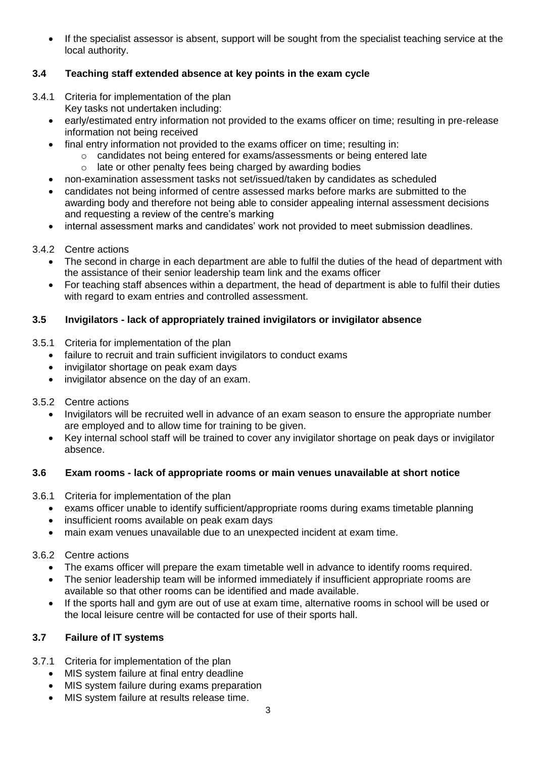If the specialist assessor is absent, support will be sought from the specialist teaching service at the local authority.

# **3.4 Teaching staff extended absence at key points in the exam cycle**

- 3.4.1 Criteria for implementation of the plan
	- Key tasks not undertaken including:
	- early/estimated entry information not provided to the exams officer on time; resulting in pre-release information not being received
	- final entry information not provided to the exams officer on time; resulting in:
		- $\circ$  candidates not being entered for exams/assessments or being entered late
			- o late or other penalty fees being charged by awarding bodies
	- non-examination assessment tasks not set/issued/taken by candidates as scheduled
	- candidates not being informed of centre assessed marks before marks are submitted to the awarding body and therefore not being able to consider appealing internal assessment decisions and requesting a review of the centre's marking
	- internal assessment marks and candidates' work not provided to meet submission deadlines.

# 3.4.2 Centre actions

- The second in charge in each department are able to fulfil the duties of the head of department with the assistance of their senior leadership team link and the exams officer
- For teaching staff absences within a department, the head of department is able to fulfil their duties with regard to exam entries and controlled assessment.

# **3.5 Invigilators - lack of appropriately trained invigilators or invigilator absence**

- 3.5.1 Criteria for implementation of the plan
	- failure to recruit and train sufficient invigilators to conduct exams
	- invigilator shortage on peak exam days
	- invigilator absence on the day of an exam.
- 3.5.2 Centre actions
	- Invigilators will be recruited well in advance of an exam season to ensure the appropriate number are employed and to allow time for training to be given.
	- Key internal school staff will be trained to cover any invigilator shortage on peak days or invigilator absence.

## **3.6 Exam rooms - lack of appropriate rooms or main venues unavailable at short notice**

- 3.6.1 Criteria for implementation of the plan
	- exams officer unable to identify sufficient/appropriate rooms during exams timetable planning
	- insufficient rooms available on peak exam days
	- main exam venues unavailable due to an unexpected incident at exam time.

## 3.6.2 Centre actions

- The exams officer will prepare the exam timetable well in advance to identify rooms required.
- The senior leadership team will be informed immediately if insufficient appropriate rooms are available so that other rooms can be identified and made available.
- If the sports hall and gym are out of use at exam time, alternative rooms in school will be used or the local leisure centre will be contacted for use of their sports hall.

## **3.7 Failure of IT systems**

- 3.7.1 Criteria for implementation of the plan
	- MIS system failure at final entry deadline
	- MIS system failure during exams preparation
	- MIS system failure at results release time.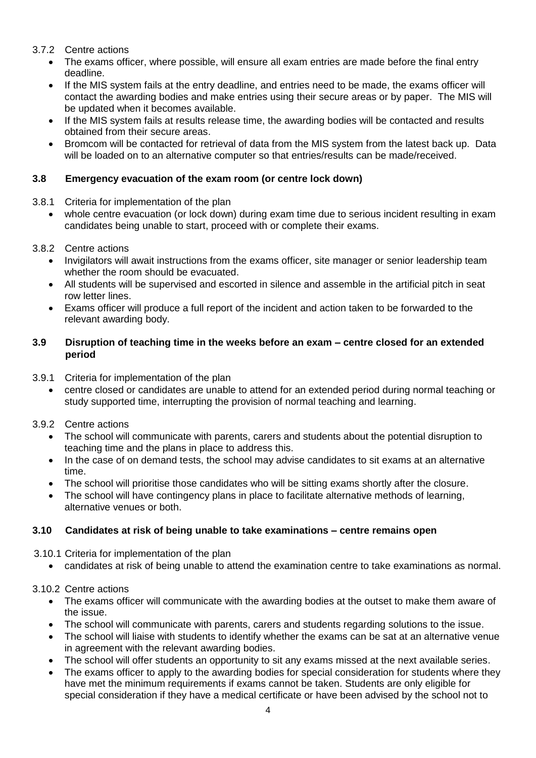# 3.7.2 Centre actions

- The exams officer, where possible, will ensure all exam entries are made before the final entry deadline.
- If the MIS system fails at the entry deadline, and entries need to be made, the exams officer will contact the awarding bodies and make entries using their secure areas or by paper. The MIS will be updated when it becomes available.
- If the MIS system fails at results release time, the awarding bodies will be contacted and results obtained from their secure areas.
- Bromcom will be contacted for retrieval of data from the MIS system from the latest back up. Data will be loaded on to an alternative computer so that entries/results can be made/received.

# **3.8 Emergency evacuation of the exam room (or centre lock down)**

- 3.8.1 Criteria for implementation of the plan
	- whole centre evacuation (or lock down) during exam time due to serious incident resulting in exam candidates being unable to start, proceed with or complete their exams.

# 3.8.2 Centre actions

- Invigilators will await instructions from the exams officer, site manager or senior leadership team whether the room should be evacuated.
- All students will be supervised and escorted in silence and assemble in the artificial pitch in seat row letter lines.
- Exams officer will produce a full report of the incident and action taken to be forwarded to the relevant awarding body.

# **3.9 Disruption of teaching time in the weeks before an exam – centre closed for an extended period**

- 3.9.1 Criteria for implementation of the plan
	- centre closed or candidates are unable to attend for an extended period during normal teaching or study supported time, interrupting the provision of normal teaching and learning.

# 3.9.2 Centre actions

- The school will communicate with parents, carers and students about the potential disruption to teaching time and the plans in place to address this.
- In the case of on demand tests, the school may advise candidates to sit exams at an alternative time.
- The school will prioritise those candidates who will be sitting exams shortly after the closure.
- The school will have contingency plans in place to facilitate alternative methods of learning, alternative venues or both.

# **3.10 Candidates at risk of being unable to take examinations – centre remains open**

3.10.1 Criteria for implementation of the plan

• candidates at risk of being unable to attend the examination centre to take examinations as normal.

3.10.2 Centre actions

- The exams officer will communicate with the awarding bodies at the outset to make them aware of the issue.
- The school will communicate with parents, carers and students regarding solutions to the issue.
- The school will liaise with students to identify whether the exams can be sat at an alternative venue in agreement with the relevant awarding bodies.
- The school will offer students an opportunity to sit any exams missed at the next available series.
- The exams officer to apply to the awarding bodies for special consideration for students where they have met the minimum requirements if exams cannot be taken. Students are only eligible for special consideration if they have a medical certificate or have been advised by the school not to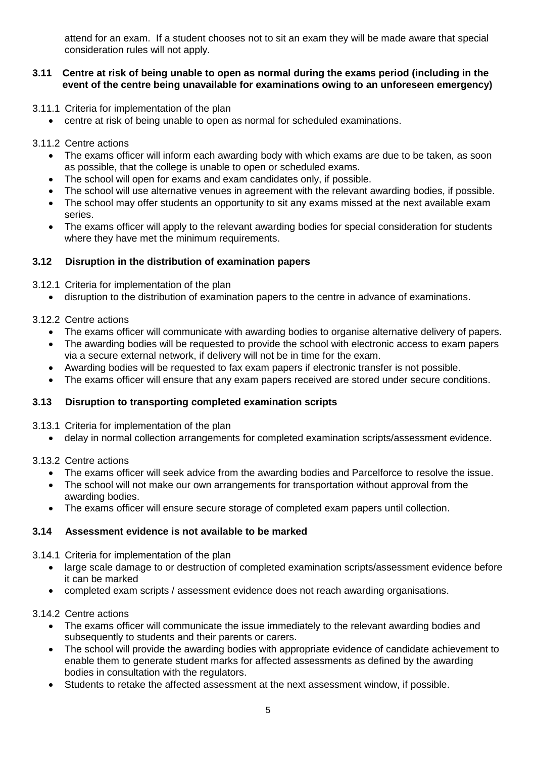attend for an exam. If a student chooses not to sit an exam they will be made aware that special consideration rules will not apply.

## **3.11 Centre at risk of being unable to open as normal during the exams period (including in the event of the centre being unavailable for examinations owing to an unforeseen emergency)**

- 3.11.1 Criteria for implementation of the plan
	- centre at risk of being unable to open as normal for scheduled examinations.

## 3.11.2 Centre actions

- The exams officer will inform each awarding body with which exams are due to be taken, as soon as possible, that the college is unable to open or scheduled exams.
- The school will open for exams and exam candidates only, if possible.
- The school will use alternative venues in agreement with the relevant awarding bodies, if possible.
- The school may offer students an opportunity to sit any exams missed at the next available exam series.
- The exams officer will apply to the relevant awarding bodies for special consideration for students where they have met the minimum requirements.

# **3.12 Disruption in the distribution of examination papers**

## 3.12.1 Criteria for implementation of the plan

• disruption to the distribution of examination papers to the centre in advance of examinations.

## 3.12.2 Centre actions

- The exams officer will communicate with awarding bodies to organise alternative delivery of papers.
- The awarding bodies will be requested to provide the school with electronic access to exam papers via a secure external network, if delivery will not be in time for the exam.
- Awarding bodies will be requested to fax exam papers if electronic transfer is not possible.
- The exams officer will ensure that any exam papers received are stored under secure conditions.

## **3.13 Disruption to transporting completed examination scripts**

- 3.13.1 Criteria for implementation of the plan
	- delay in normal collection arrangements for completed examination scripts/assessment evidence.

## 3.13.2 Centre actions

- The exams officer will seek advice from the awarding bodies and Parcelforce to resolve the issue.
- The school will not make our own arrangements for transportation without approval from the awarding bodies.
- The exams officer will ensure secure storage of completed exam papers until collection.

## **3.14 Assessment evidence is not available to be marked**

## 3.14.1 Criteria for implementation of the plan

- large scale damage to or destruction of completed examination scripts/assessment evidence before it can be marked
- completed exam scripts / assessment evidence does not reach awarding organisations.

## 3.14.2 Centre actions

- The exams officer will communicate the issue immediately to the relevant awarding bodies and subsequently to students and their parents or carers.
- The school will provide the awarding bodies with appropriate evidence of candidate achievement to enable them to generate student marks for affected assessments as defined by the awarding bodies in consultation with the regulators.
- Students to retake the affected assessment at the next assessment window, if possible.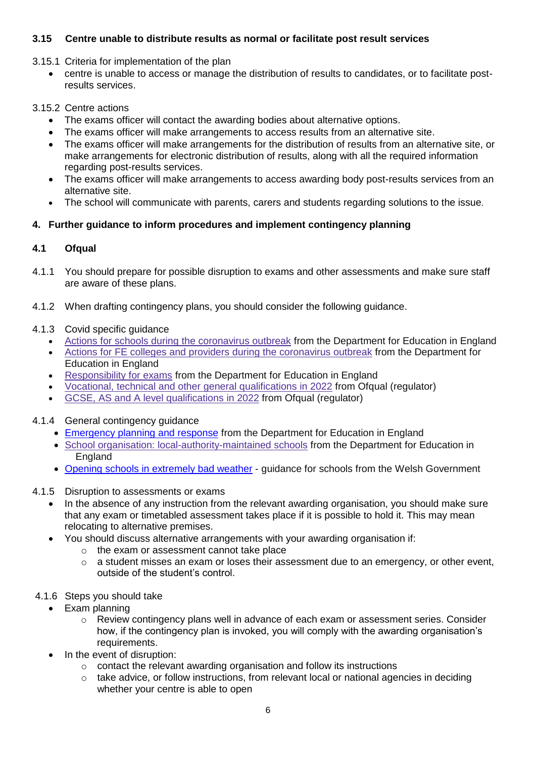# **3.15 Centre unable to distribute results as normal or facilitate post result services**

- 3.15.1 Criteria for implementation of the plan
	- centre is unable to access or manage the distribution of results to candidates, or to facilitate postresults services.

## 3.15.2 Centre actions

- The exams officer will contact the awarding bodies about alternative options.
- The exams officer will make arrangements to access results from an alternative site.
- The exams officer will make arrangements for the distribution of results from an alternative site, or make arrangements for electronic distribution of results, along with all the required information regarding post-results services.
- The exams officer will make arrangements to access awarding body post-results services from an alternative site.
- The school will communicate with parents, carers and students regarding solutions to the issue.

# **4. Further guidance to inform procedures and implement contingency planning**

# **4.1 Ofqual**

- 4.1.1 You should prepare for possible disruption to exams and other assessments and make sure staff are aware of these plans.
- 4.1.2 When drafting contingency plans, you should consider the following guidance.
- 4.1.3 Covid specific guidance
	- Actions for schools during the [coronavirus](https://www.gov.uk/government/publications/actions-for-schools-during-the-coronavirus-outbreak) outbreak from the Department for Education in England
	- Actions for FE colleges and providers during the [coronavirus](https://www.gov.uk/government/publications/coronavirus-covid-19-maintaining-further-education-provision) outbreak from the Department for Education in England
	- [Responsibility](https://www.gov.uk/government/publications/responsibility-for-autumn-gcse-as-and-a-level-exam-series) for exams from the Department for Education in England
	- Vocational, technical and other general [qualifications](https://www.gov.uk/government/collections/vocational-technical-and-other-general-qualifications-in-2022) in 2022 from Ofqual (regulator)
	- GCSE, AS and A level [qualifications](https://www.gov.uk/government/collections/gcse-as-and-a-level-qualifications-in-2022) in 2022 from Ofqual (regulator)
- 4.1.4 General contingency guidance
	- [Emergency](https://www.gov.uk/guidance/emergencies-and-severe-weather-schools-and-early-years-settings) planning and response from the Department for Education in England
	- School organisation: [local-authority-maintained](https://www.gov.uk/government/publications/school-organisation-maintained-schools) schools from the Department for Education in England
	- Opening schools in [extremely](https://gov.wales/opening-schools-extremely-bad-weather-guidance-schools) bad weather guidance for schools from the Welsh Government
- 4.1.5 Disruption to assessments or exams
	- In the absence of any instruction from the relevant awarding organisation, you should make sure that any exam or timetabled assessment takes place if it is possible to hold it. This may mean relocating to alternative premises.
	- You should discuss alternative arrangements with your awarding organisation if:
		- o the exam or assessment cannot take place
		- $\circ$  a student misses an exam or loses their assessment due to an emergency, or other event, outside of the student's control.
- 4.1.6 Steps you should take
	- Exam planning
		- $\circ$  Review contingency plans well in advance of each exam or assessment series. Consider how, if the contingency plan is invoked, you will comply with the awarding organisation's requirements.
	- In the event of disruption:
		- o contact the relevant awarding organisation and follow its instructions
		- $\circ$  take advice, or follow instructions, from relevant local or national agencies in deciding whether your centre is able to open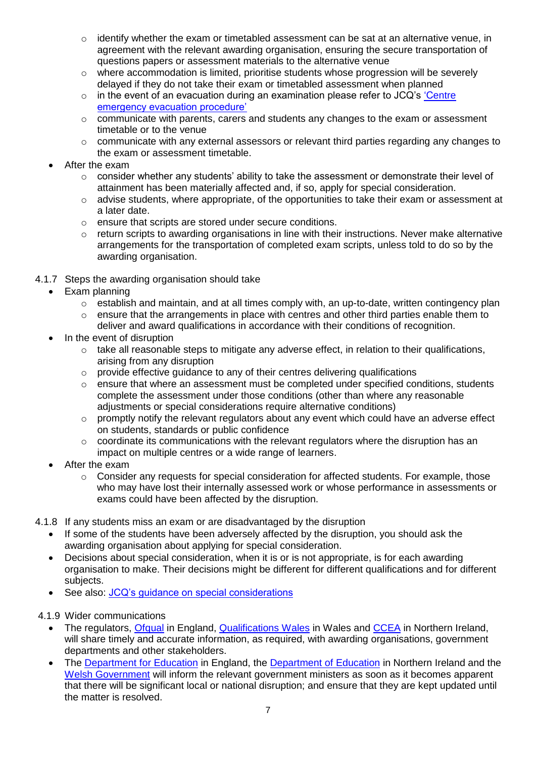- $\circ$  identify whether the exam or timetabled assessment can be sat at an alternative venue, in agreement with the relevant awarding organisation, ensuring the secure transportation of questions papers or assessment materials to the alternative venue
- $\circ$  where accommodation is limited, prioritise students whose progression will be severely delayed if they do not take their exam or timetabled assessment when planned
- $\circ$  in the event of an evacuation during an examination please refer to JCQ's 'Centre [emergency evacuation procedure'](https://www.jcq.org.uk/exams-office/ice---instructions-for-conducting-examinations/centre-emergency-evacuation-procedure)
- $\circ$  communicate with parents, carers and students any changes to the exam or assessment timetable or to the venue
- $\circ$  communicate with any external assessors or relevant third parties regarding any changes to the exam or assessment timetable.
- After the exam
	- o consider whether any students' ability to take the assessment or demonstrate their level of attainment has been materially affected and, if so, apply for special consideration.
	- $\circ$  advise students, where appropriate, of the opportunities to take their exam or assessment at a later date.
	- o ensure that scripts are stored under secure conditions.
	- o return scripts to awarding organisations in line with their instructions. Never make alternative arrangements for the transportation of completed exam scripts, unless told to do so by the awarding organisation.
- 4.1.7 Steps the awarding organisation should take
	- Exam planning
		- $\circ$  establish and maintain, and at all times comply with, an up-to-date, written contingency plan
		- $\circ$  ensure that the arrangements in place with centres and other third parties enable them to deliver and award qualifications in accordance with their conditions of recognition.
	- In the event of disruption
		- o take all reasonable steps to mitigate any adverse effect, in relation to their qualifications, arising from any disruption
		- o provide effective guidance to any of their centres delivering qualifications
		- $\circ$  ensure that where an assessment must be completed under specified conditions, students complete the assessment under those conditions (other than where any reasonable adjustments or special considerations require alternative conditions)
		- o promptly notify the relevant regulators about any event which could have an adverse effect on students, standards or public confidence
		- $\circ$  coordinate its communications with the relevant regulators where the disruption has an impact on multiple centres or a wide range of learners.
	- After the exam
		- $\circ$  Consider any requests for special consideration for affected students. For example, those who may have lost their internally assessed work or whose performance in assessments or exams could have been affected by the disruption.
- 4.1.8 If any students miss an exam or are disadvantaged by the disruption
	- If some of the students have been adversely affected by the disruption, you should ask the awarding organisation about applying for special consideration.
	- Decisions about special consideration, when it is or is not appropriate, is for each awarding organisation to make. Their decisions might be different for different qualifications and for different subjects.
	- See also: [JCQ's guidance on special considerations](https://www.jcq.org.uk/exams-office/access-arrangements-and-special-consideration/regulations-and-guidance)
- 4.1.9 Wider communications
	- The regulators, [Ofqual](https://www.gov.uk/ofqual) in England, [Qualifications Wales](http://qualificationswales.org/) in Wales and [CCEA](http://ccea.org.uk/) in Northern Ireland, will share timely and accurate information, as required, with awarding organisations, government departments and other stakeholders.
	- The [Department for Education](https://www.gov.uk/government/organisations/department-for-education) in England, the [Department of Education](https://www.education-ni.gov.uk/) in Northern Ireland and the [Welsh Government](http://gov.wales/topics/educationandskills/?lang=en) will inform the relevant government ministers as soon as it becomes apparent that there will be significant local or national disruption; and ensure that they are kept updated until the matter is resolved.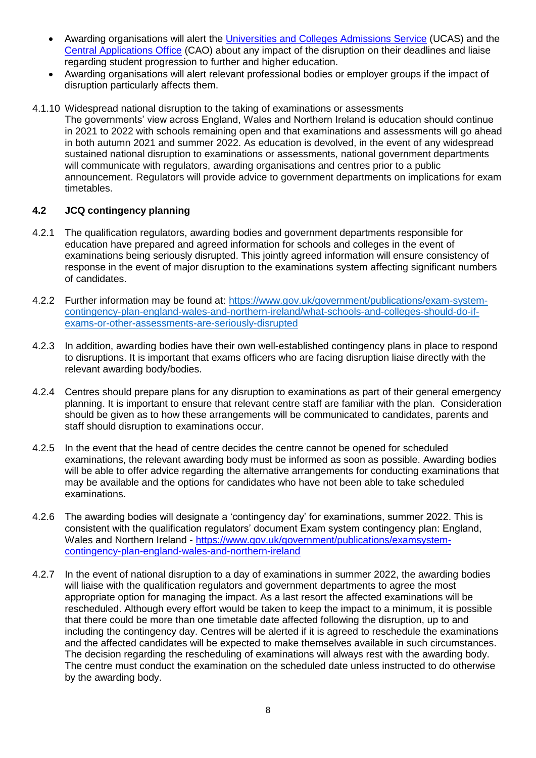- Awarding organisations will alert the [Universities and Colleges Admissions Service](https://www.ucas.com/) (UCAS) and the [Central Applications Office](http://www.cao.ie/) (CAO) about any impact of the disruption on their deadlines and liaise regarding student progression to further and higher education.
- Awarding organisations will alert relevant professional bodies or employer groups if the impact of disruption particularly affects them.
- 4.1.10 Widespread national disruption to the taking of examinations or assessments The governments' view across England, Wales and Northern Ireland is education should continue in 2021 to 2022 with schools remaining open and that examinations and assessments will go ahead in both autumn 2021 and summer 2022. As education is devolved, in the event of any widespread sustained national disruption to examinations or assessments, national government departments will communicate with regulators, awarding organisations and centres prior to a public announcement. Regulators will provide advice to government departments on implications for exam timetables.

# **4.2 JCQ contingency planning**

- 4.2.1 The qualification regulators, awarding bodies and government departments responsible for education have prepared and agreed information for schools and colleges in the event of examinations being seriously disrupted. This jointly agreed information will ensure consistency of response in the event of major disruption to the examinations system affecting significant numbers of candidates.
- 4.2.2 Further information may be found at: [https://www.gov.uk/government/publications/exam-system](https://www.gov.uk/government/publications/exam-system-contingency-plan-england-wales-and-northern-ireland/what-schools-and-colleges-should-do-if-exams-or-other-assessments-are-seriously-disrupted)[contingency-plan-england-wales-and-northern-ireland/what-schools-and-colleges-should-do-if](https://www.gov.uk/government/publications/exam-system-contingency-plan-england-wales-and-northern-ireland/what-schools-and-colleges-should-do-if-exams-or-other-assessments-are-seriously-disrupted)[exams-or-other-assessments-are-seriously-disrupted](https://www.gov.uk/government/publications/exam-system-contingency-plan-england-wales-and-northern-ireland/what-schools-and-colleges-should-do-if-exams-or-other-assessments-are-seriously-disrupted)
- 4.2.3 In addition, awarding bodies have their own well-established contingency plans in place to respond to disruptions. It is important that exams officers who are facing disruption liaise directly with the relevant awarding body/bodies.
- 4.2.4 Centres should prepare plans for any disruption to examinations as part of their general emergency planning. It is important to ensure that relevant centre staff are familiar with the plan. Consideration should be given as to how these arrangements will be communicated to candidates, parents and staff should disruption to examinations occur.
- 4.2.5 In the event that the head of centre decides the centre cannot be opened for scheduled examinations, the relevant awarding body must be informed as soon as possible. Awarding bodies will be able to offer advice regarding the alternative arrangements for conducting examinations that may be available and the options for candidates who have not been able to take scheduled examinations.
- 4.2.6 The awarding bodies will designate a 'contingency day' for examinations, summer 2022. This is consistent with the qualification regulators' document Exam system contingency plan: England, Wales and Northern Ireland - [https://www.gov.uk/government/publications/examsystem](https://www.gov.uk/government/publications/examsystem-contingency-plan-england-wales-and-northern-ireland)[contingency-plan-england-wales-and-northern-ireland](https://www.gov.uk/government/publications/examsystem-contingency-plan-england-wales-and-northern-ireland)
- 4.2.7 In the event of national disruption to a day of examinations in summer 2022, the awarding bodies will liaise with the qualification regulators and government departments to agree the most appropriate option for managing the impact. As a last resort the affected examinations will be rescheduled. Although every effort would be taken to keep the impact to a minimum, it is possible that there could be more than one timetable date affected following the disruption, up to and including the contingency day. Centres will be alerted if it is agreed to reschedule the examinations and the affected candidates will be expected to make themselves available in such circumstances. The decision regarding the rescheduling of examinations will always rest with the awarding body. The centre must conduct the examination on the scheduled date unless instructed to do otherwise by the awarding body.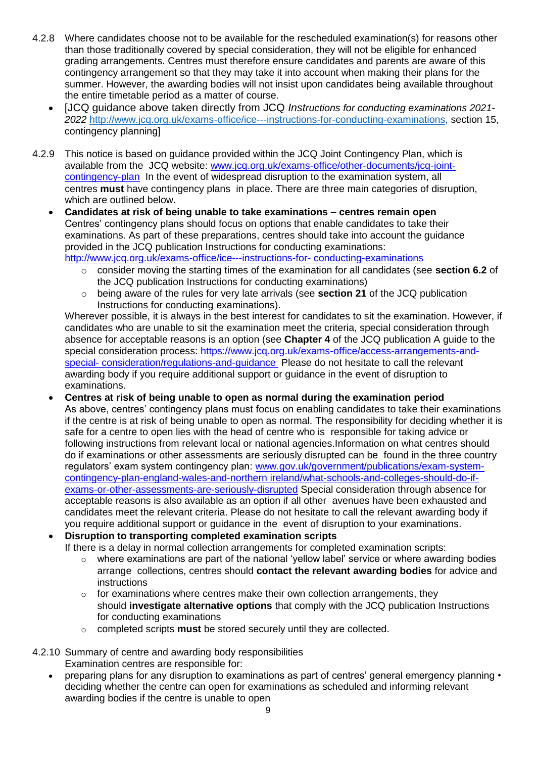- 4.2.8 Where candidates choose not to be available for the rescheduled examination(s) for reasons other than those traditionally covered by special consideration, they will not be eligible for enhanced grading arrangements. Centres must therefore ensure candidates and parents are aware of this contingency arrangement so that they may take it into account when making their plans for the summer. However, the awarding bodies will not insist upon candidates being available throughout the entire timetable period as a matter of course.
	- [JCQ guidance above taken directly from JCQ *Instructions for conducting examinations 2021- 2022* [http://www.jcq.org.uk/exams-office/ice---instructions-for-conducting-examinations,](http://www.jcq.org.uk/exams-office/ice---instructions-for-conducting-examinations) section 15, contingency planning]
- 4.2.9 This notice is based on guidance provided within the JCQ Joint Contingency Plan, which is available from the JCQ website: [www.jcq.org.uk/exams-office/other-documents/jcq-joint](https://www.jcq.org.uk/exams-office/other-documents/jcq-joint-contingency-plan)[contingency-plan](https://www.jcq.org.uk/exams-office/other-documents/jcq-joint-contingency-plan) In the event of widespread disruption to the examination system, all centres **must** have contingency plans in place. There are three main categories of disruption, which are outlined below.
	- **Candidates at risk of being unable to take examinations – centres remain open** Centres' contingency plans should focus on options that enable candidates to take their examinations. As part of these preparations, centres should take into account the guidance provided in the JCQ publication Instructions for conducting examinations:

[http://www.jcq.org.uk/exams-office/ice---instructions-for-](http://www.jcq.org.uk/exams-office/ice---instructions-for-%20conducting-examinations) conducting-examinations

- o consider moving the starting times of the examination for all candidates (see **section 6.2** of the JCQ publication Instructions for conducting examinations)
- o being aware of the rules for very late arrivals (see **section 21** of the JCQ publication Instructions for conducting examinations).

Wherever possible, it is always in the best interest for candidates to sit the examination. However, if candidates who are unable to sit the examination meet the criteria, special consideration through absence for acceptable reasons is an option (see **Chapter 4** of the JCQ publication A guide to the special consideration process: [https://www.jcq.org.uk/exams-office/access-arrangements-and](https://www.jcq.org.uk/exams-office/access-arrangements-and-special-%20consideration/regulations-and-guidance)special- [consideration/regulations-and-guidance](https://www.jcq.org.uk/exams-office/access-arrangements-and-special-%20consideration/regulations-and-guidance) Please do not hesitate to call the relevant awarding body if you require additional support or guidance in the event of disruption to examinations.

- **Centres at risk of being unable to open as normal during the examination period** As above, centres' contingency plans must focus on enabling candidates to take their examinations if the centre is at risk of being unable to open as normal. The responsibility for deciding whether it is safe for a centre to open lies with the head of centre who is responsible for taking advice or following instructions from relevant local or national agencies.Information on what centres should do if examinations or other assessments are seriously disrupted can be found in the three country regulators' exam system contingency plan: [www.gov.uk/government/publications/exam-system](http://www.gov.uk/government/publications/exam-system-contingency-plan-england-wales-and-northern%20ireland/what-schools-and-colleges-should-do-if-exams-or-other-assessments-are-seriously-disrupted)[contingency-plan-england-wales-and-northern ireland/what-schools-and-colleges-should-do-if](http://www.gov.uk/government/publications/exam-system-contingency-plan-england-wales-and-northern%20ireland/what-schools-and-colleges-should-do-if-exams-or-other-assessments-are-seriously-disrupted)[exams-or-other-assessments-are-seriously-disrupted](http://www.gov.uk/government/publications/exam-system-contingency-plan-england-wales-and-northern%20ireland/what-schools-and-colleges-should-do-if-exams-or-other-assessments-are-seriously-disrupted) Special consideration through absence for acceptable reasons is also available as an option if all other avenues have been exhausted and candidates meet the relevant criteria. Please do not hesitate to call the relevant awarding body if you require additional support or guidance in the event of disruption to your examinations.
- **Disruption to transporting completed examination scripts**
	- If there is a delay in normal collection arrangements for completed examination scripts:
		- $\circ$  where examinations are part of the national 'yellow label' service or where awarding bodies arrange collections, centres should **contact the relevant awarding bodies** for advice and instructions
		- $\circ$  for examinations where centres make their own collection arrangements, they should **investigate alternative options** that comply with the JCQ publication Instructions for conducting examinations
		- o completed scripts **must** be stored securely until they are collected.

# 4.2.10 Summary of centre and awarding body responsibilities

- Examination centres are responsible for:
- preparing plans for any disruption to examinations as part of centres' general emergency planning deciding whether the centre can open for examinations as scheduled and informing relevant awarding bodies if the centre is unable to open